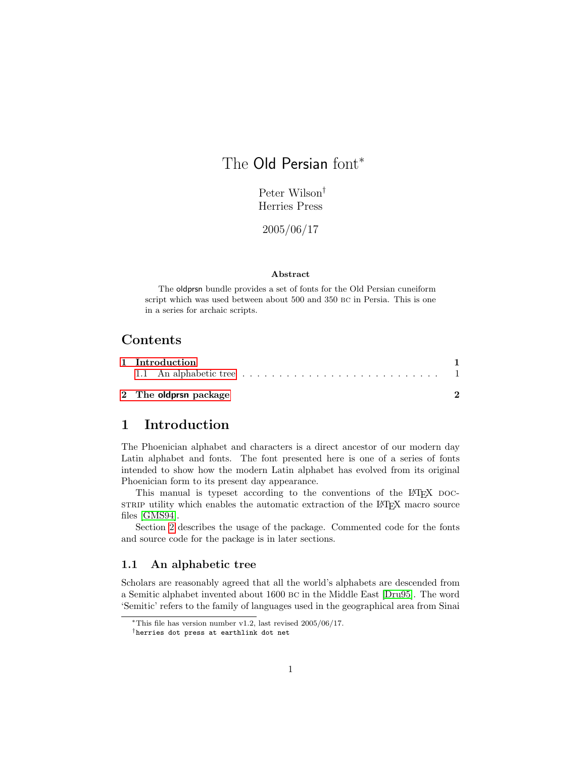# The Old Persian font<sup>\*</sup>

Peter Wilson† Herries Press

2005/06/17

### Abstract

The oldprsn bundle provides a set of fonts for the Old Persian cuneiform script which was used between about 500 and 350 bc in Persia. This is one in a series for archaic scripts.

## Contents

| 1 Introduction                                                                                   |  |  |
|--------------------------------------------------------------------------------------------------|--|--|
| 1.1 An alphabetic tree $\ldots \ldots \ldots \ldots \ldots \ldots \ldots \ldots \ldots \ldots 1$ |  |  |
| 2 The <b>oldprsn</b> package                                                                     |  |  |

# <span id="page-0-0"></span>1 Introduction

The Phoenician alphabet and characters is a direct ancestor of our modern day Latin alphabet and fonts. The font presented here is one of a series of fonts intended to show how the modern Latin alphabet has evolved from its original Phoenician form to its present day appearance.

This manual is typeset according to the conventions of the LAT<sub>E</sub>X DOCstrate utility which enables the automatic extraction of the LATEX macro source files [\[GMS94\]](#page-2-0).

Section [2](#page-1-0) describes the usage of the package. Commented code for the fonts and source code for the package is in later sections.

### <span id="page-0-1"></span>1.1 An alphabetic tree

Scholars are reasonably agreed that all the world's alphabets are descended from a Semitic alphabet invented about 1600 bc in the Middle East [\[Dru95\]](#page-2-1). The word 'Semitic' refers to the family of languages used in the geographical area from Sinai

<sup>∗</sup>This file has version number v1.2, last revised 2005/06/17.

<sup>†</sup>herries dot press at earthlink dot net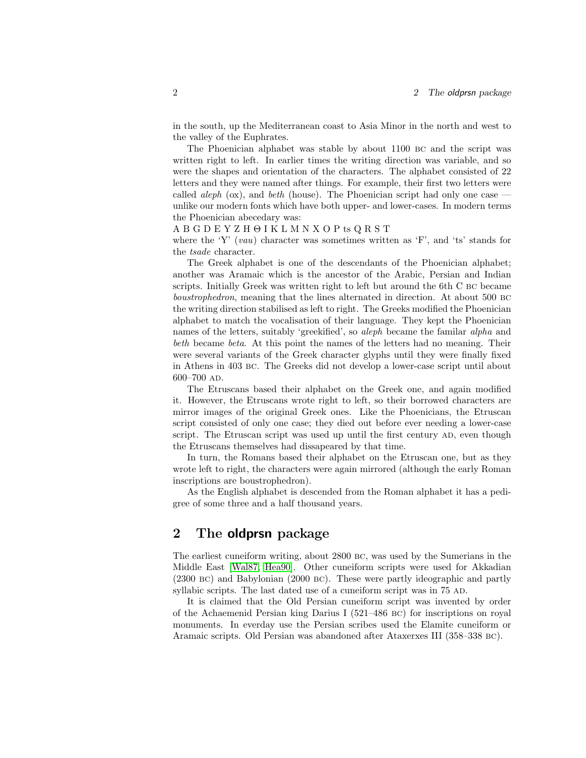in the south, up the Mediterranean coast to Asia Minor in the north and west to the valley of the Euphrates.

The Phoenician alphabet was stable by about 1100 bc and the script was written right to left. In earlier times the writing direction was variable, and so were the shapes and orientation of the characters. The alphabet consisted of 22 letters and they were named after things. For example, their first two letters were called *aleph* (ox), and *beth* (house). The Phoenician script had only one case  $$ unlike our modern fonts which have both upper- and lower-cases. In modern terms the Phoenician abecedary was:

#### A B G D E Y Z H Θ I K L M N X O P ts Q R S T

where the 'Y'  $(vau)$  character was sometimes written as 'F', and 'ts' stands for the tsade character.

The Greek alphabet is one of the descendants of the Phoenician alphabet; another was Aramaic which is the ancestor of the Arabic, Persian and Indian scripts. Initially Greek was written right to left but around the 6th C bc became boustrophedron, meaning that the lines alternated in direction. At about 500 bc the writing direction stabilised as left to right. The Greeks modified the Phoenician alphabet to match the vocalisation of their language. They kept the Phoenician names of the letters, suitably 'greekified', so aleph became the familar alpha and beth became beta. At this point the names of the letters had no meaning. Their were several variants of the Greek character glyphs until they were finally fixed in Athens in 403 bc. The Greeks did not develop a lower-case script until about 600–700 ad.

The Etruscans based their alphabet on the Greek one, and again modified it. However, the Etruscans wrote right to left, so their borrowed characters are mirror images of the original Greek ones. Like the Phoenicians, the Etruscan script consisted of only one case; they died out before ever needing a lower-case script. The Etruscan script was used up until the first century AD, even though the Etruscans themselves had dissapeared by that time.

In turn, the Romans based their alphabet on the Etruscan one, but as they wrote left to right, the characters were again mirrored (although the early Roman inscriptions are boustrophedron).

As the English alphabet is descended from the Roman alphabet it has a pedigree of some three and a half thousand years.

### <span id="page-1-0"></span>2 The oldprsn package

The earliest cuneiform writing, about 2800 bc, was used by the Sumerians in the Middle East [\[Wal87,](#page-2-2) [Hea90\]](#page-2-3). Other cuneiform scripts were used for Akkadian (2300 bc) and Babylonian (2000 bc). These were partly ideographic and partly syllabic scripts. The last dated use of a cuneiform script was in  $75$  AD.

It is claimed that the Old Persian cuneiform script was invented by order of the Achaemenid Persian king Darius I (521–486 BC) for inscriptions on royal monuments. In everday use the Persian scribes used the Elamite cuneiform or Aramaic scripts. Old Persian was abandoned after Ataxerxes III (358–338 bc).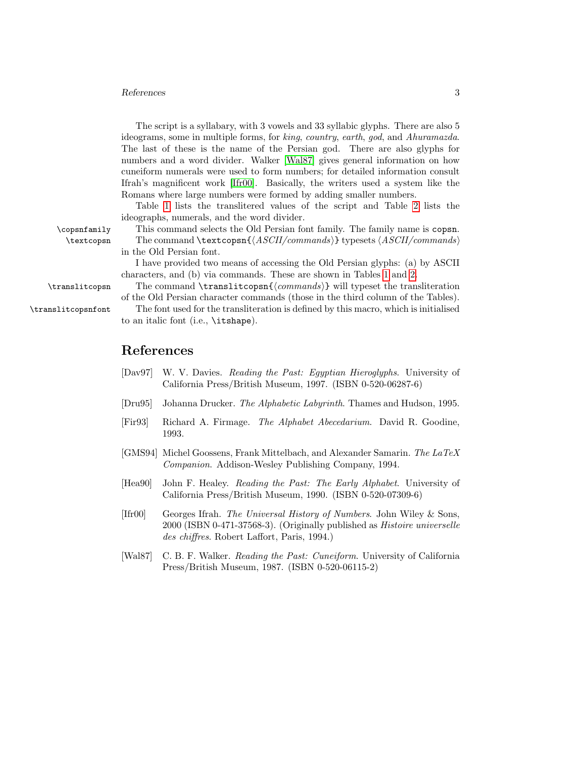### References 3

The script is a syllabary, with 3 vowels and 33 syllabic glyphs. There are also 5 ideograms, some in multiple forms, for king, country, earth, god, and Ahuramazda. The last of these is the name of the Persian god. There are also glyphs for numbers and a word divider. Walker [\[Wal87\]](#page-2-2) gives general information on how cuneiform numerals were used to form numbers; for detailed information consult Ifrah's magnificent work [\[Ifr00\]](#page-2-4). Basically, the writers used a system like the Romans where large numbers were formed by adding smaller numbers.

Table [1](#page-3-0) lists the translitered values of the script and Table [2](#page-4-0) lists the ideographs, numerals, and the word divider.

\copsnfamily This command selects the Old Persian font family. The family name is copsn. \textcopsn The command \textcopsn{ $\langle ASCII/commands\rangle$ } typesets  $\langle ASCII/commands\rangle$ in the Old Persian font.

> I have provided two means of accessing the Old Persian glyphs: (a) by ASCII characters, and (b) via commands. These are shown in Tables [1](#page-3-0) and [2.](#page-4-0)

 $\transliteops$  The command  $\transliteopsn{\*commands*}$  will typeset the transliteration of the Old Persian character commands (those in the third column of the Tables).

\translitcopsnfont The font used for the transliteration is defined by this macro, which is initialised to an italic font (i.e., \itshape).

## References

- [Dav97] W. V. Davies. Reading the Past: Egyptian Hieroglyphs. University of California Press/British Museum, 1997. (ISBN 0-520-06287-6)
- <span id="page-2-1"></span>[Dru95] Johanna Drucker. The Alphabetic Labyrinth. Thames and Hudson, 1995.
- [Fir93] Richard A. Firmage. The Alphabet Abecedarium. David R. Goodine, 1993.
- <span id="page-2-0"></span>[GMS94] Michel Goossens, Frank Mittelbach, and Alexander Samarin. The LaTeX Companion. Addison-Wesley Publishing Company, 1994.
- <span id="page-2-3"></span>[Hea90] John F. Healey. Reading the Past: The Early Alphabet. University of California Press/British Museum, 1990. (ISBN 0-520-07309-6)
- <span id="page-2-4"></span>[Ifr00] Georges Ifrah. The Universal History of Numbers. John Wiley & Sons, 2000 (ISBN 0-471-37568-3). (Originally published as Histoire universelle des chiffres. Robert Laffort, Paris, 1994.)
- <span id="page-2-2"></span>[Wal87] C. B. F. Walker. Reading the Past: Cuneiform. University of California Press/British Museum, 1987. (ISBN 0-520-06115-2)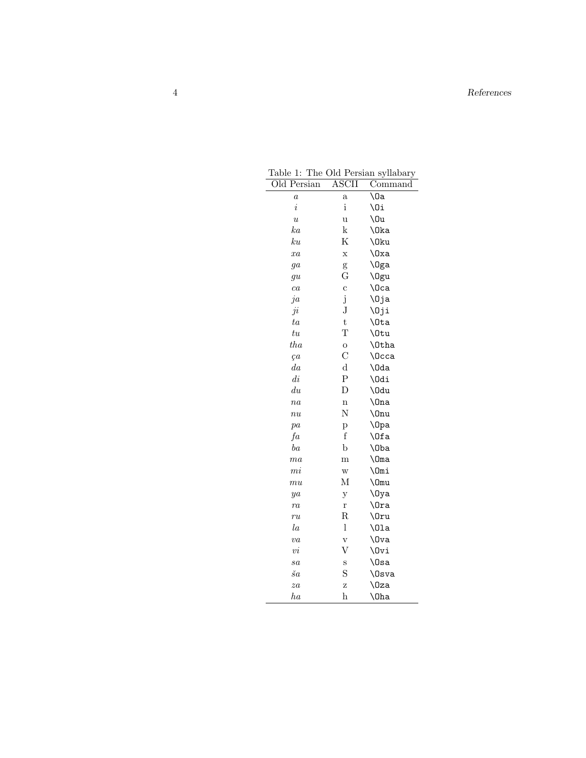<span id="page-3-0"></span>

| Old Persian      | ASCII                   | Command       |
|------------------|-------------------------|---------------|
| $\overline{a}$   | $\rm{a}$                | \0a           |
| $\it i$          | $\mathbf{i}$            | \Oi           |
| $\boldsymbol{u}$ | u                       | \0u           |
| ka               | k                       | \0ka          |
| $k$ u            | Κ                       | \0ku          |
| xa               | X                       | \0xa          |
| $g\overline{a}$  | g                       | \0ga          |
| $g\overline{u}$  | G                       | \0gu          |
| ca               | $\mathbf c$             | \Oca          |
| ja               | $\mathrm{j}$            | \Oja          |
| ji               | J                       | \Oji          |
| ta               | $\mathbf t$             | \Ota          |
| $t\overline{u}$  | T                       | \0tu          |
| $_{tha}$         | $\mathbf O$             | <b>\Otha</b>  |
| ça               | $\mathcal{C}$           | \Occa         |
| $_{da}$          | $\mathbf d$             | \0da          |
| $\, di \,$       | $\overline{\mathrm{P}}$ | \Odi          |
| $\,du$           | D                       | \0du          |
| $n_{a}$          | n                       | $\ln a$       |
| $\overline{nu}$  | N                       | $\lambda$ Onu |
| pa               | p                       | $\log a$      |
| fa               | f                       | \Ofa          |
| ba               | $\mathbf b$             | $\lambda$     |
| ma               | m                       | $\Omega$      |
| $m$ <i>i</i>     | $\ensuremath{\text{W}}$ | \Omi          |
| mu               | М                       | \Omu          |
| ya               | у                       | $\log a$      |
| ra               | r                       | $\sqrt{0}ra$  |
| ru               | R                       | $\Omega$ ru   |
| $l_a$            | 1                       | $\Omega$      |
| va               | $\rm V$                 | $\sqrt{0}$ va |
| $\vec{vi}$       | V                       | \Ovi          |
| sa               | S                       | $\log a$      |
| $\check{s}a$     | S                       | \0sva         |
| za               | Ζ                       | \0za          |
| $_{ha}$          | $\bold{h}$              | $\lambda$     |

Table 1: The Old Persian syllabary